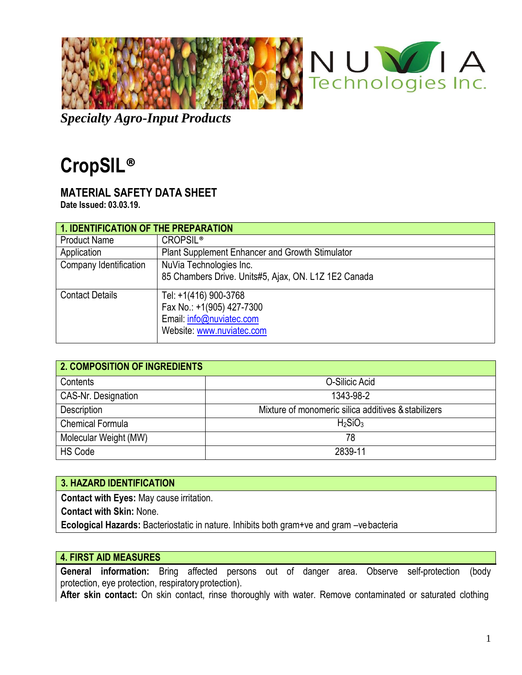

*Specialty Agro-Input Products*

# **CropSIL®**

# **MATERIAL SAFETY DATA SHEET**

**Date Issued: 03.03.19.**

| 1. IDENTIFICATION OF THE PREPARATION |                                                      |  |
|--------------------------------------|------------------------------------------------------|--|
| <b>Product Name</b>                  | <b>CROPSIL®</b>                                      |  |
| Application                          | Plant Supplement Enhancer and Growth Stimulator      |  |
| Company Identification               | NuVia Technologies Inc.                              |  |
|                                      | 85 Chambers Drive. Units#5, Ajax, ON. L1Z 1E2 Canada |  |
| <b>Contact Details</b>               | Tel: +1(416) 900-3768                                |  |
|                                      | Fax No.: +1(905) 427-7300                            |  |
|                                      | Email: info@nuviatec.com                             |  |
|                                      | Website: www.nuviatec.com                            |  |

| <b>2. COMPOSITION OF INGREDIENTS</b> |                                                     |  |
|--------------------------------------|-----------------------------------------------------|--|
| Contents                             | O-Silicic Acid                                      |  |
| CAS-Nr. Designation                  | 1343-98-2                                           |  |
| Description                          | Mixture of monomeric silica additives & stabilizers |  |
| <b>Chemical Formula</b>              | H <sub>2</sub> SiO <sub>3</sub>                     |  |
| Molecular Weight (MW)                | 78                                                  |  |
| <b>HS Code</b>                       | 2839-11                                             |  |

# **3. HAZARD IDENTIFICATION**

**Contact with Eyes:** May cause irritation.

**Contact with Skin:** None.

**Ecological Hazards:** Bacteriostatic in nature. Inhibits both gram+ve and gram –vebacteria

# **4. FIRST AID MEASURES**

**General information:** Bring affected persons out of danger area. Observe self-protection (body protection, eye protection, respiratory protection).

**After skin contact:** On skin contact, rinse thoroughly with water. Remove contaminated or saturated clothing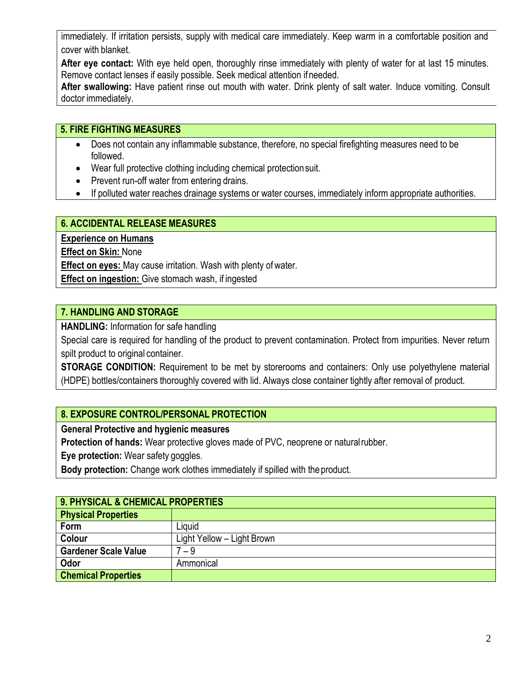immediately. If irritation persists, supply with medical care immediately. Keep warm in a comfortable position and cover with blanket.

**After eye contact:** With eye held open, thoroughly rinse immediately with plenty of water for at last 15 minutes. Remove contact lenses if easily possible. Seek medical attention ifneeded.

**After swallowing:** Have patient rinse out mouth with water. Drink plenty of salt water. Induce vomiting. Consult doctor immediately.

# **5. FIRE FIGHTING MEASURES**

- Does not contain any inflammable substance, therefore, no special firefighting measures need to be followed.
- Wear full protective clothing including chemical protectionsuit.
- Prevent run-off water from entering drains.
- If polluted water reaches drainage systems or water courses, immediately inform appropriate authorities.

## **6. ACCIDENTAL RELEASE MEASURES**

**Experience on Humans**

**Effect on Skin:** None

**Effect on eyes:** May cause irritation. Wash with plenty of water.

**Effect on ingestion:** Give stomach wash, if ingested

## **7. HANDLING AND STORAGE**

**HANDLING:** Information for safe handling

Special care is required for handling of the product to prevent contamination. Protect from impurities. Never return spilt product to original container.

**STORAGE CONDITION:** Requirement to be met by storerooms and containers: Only use polyethylene material (HDPE) bottles/containers thoroughly covered with lid. Always close container tightly after removal of product.

# **8. EXPOSURE CONTROL/PERSONAL PROTECTION**

**General Protective and hygienic measures**

**Protection of hands:** Wear protective gloves made of PVC, neoprene or naturalrubber.

**Eye protection:** Wear safety goggles.

**Body protection:** Change work clothes immediately if spilled with the product.

| 9. PHYSICAL & CHEMICAL PROPERTIES |                            |  |
|-----------------------------------|----------------------------|--|
| <b>Physical Properties</b>        |                            |  |
| Form                              | ∟iguid                     |  |
| Colour                            | Light Yellow - Light Brown |  |
| <b>Gardener Scale Value</b>       | $7 - 9$                    |  |
| Odor                              | Ammonical                  |  |
| <b>Chemical Properties</b>        |                            |  |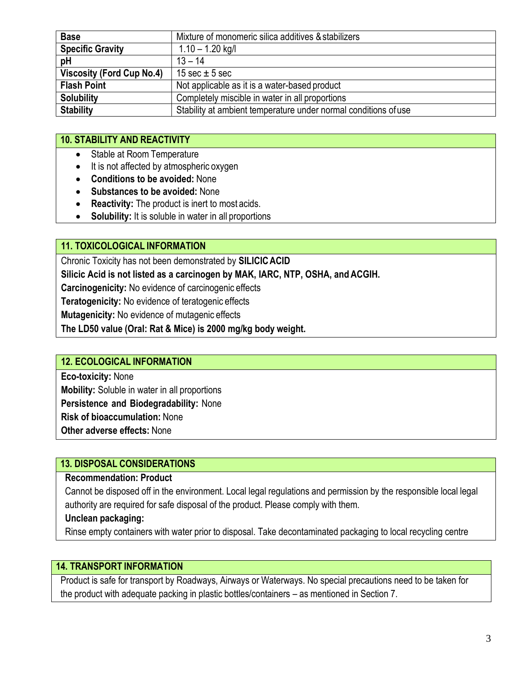| <b>Base</b>                      | Mixture of monomeric silica additives & stabilizers             |
|----------------------------------|-----------------------------------------------------------------|
| <b>Specific Gravity</b>          | $1.10 - 1.20$ kg/l                                              |
| pH                               | $13 - 14$                                                       |
| <b>Viscosity (Ford Cup No.4)</b> | 15 sec $\pm$ 5 sec                                              |
| <b>Flash Point</b>               | Not applicable as it is a water-based product                   |
| <b>Solubility</b>                | Completely miscible in water in all proportions                 |
| <b>Stability</b>                 | Stability at ambient temperature under normal conditions of use |

# **10. STABILITY AND REACTIVITY**

- Stable at Room Temperature
- It is not affected by atmospheric oxygen
- **Conditions to be avoided:** None
- **Substances to be avoided:** None
- **Reactivity:** The product is inert to most acids.
- **Solubility:** It is soluble in water in all proportions

#### **11. TOXICOLOGICAL INFORMATION**

Chronic Toxicity has not been demonstrated by **SILICICACID**

- **Silicic Acid is not listed as a carcinogen by MAK, IARC, NTP, OSHA, and ACGIH.**
- **Carcinogenicity:** No evidence of carcinogenic effects

**Teratogenicity:** No evidence of teratogenic effects

**Mutagenicity:** No evidence of mutagenic effects

**The LD50 value (Oral: Rat & Mice) is 2000 mg/kg body weight.**

### **12. ECOLOGICAL INFORMATION**

**Eco-toxicity:** None **Mobility:** Soluble in water in all proportions **Persistence and Biodegradability:** None **Risk of bioaccumulation:** None **Other adverse effects:** None

#### **13. DISPOSAL CONSIDERATIONS**

#### **Recommendation: Product**

Cannot be disposed off in the environment. Local legal regulations and permission by the responsible local legal authority are required for safe disposal of the product. Please comply with them.

#### **Unclean packaging:**

Rinse empty containers with water prior to disposal. Take decontaminated packaging to local recycling centre

#### **14. TRANSPORT INFORMATION**

Product is safe for transport by Roadways, Airways or Waterways. No special precautions need to be taken for the product with adequate packing in plastic bottles/containers – as mentioned in Section 7.